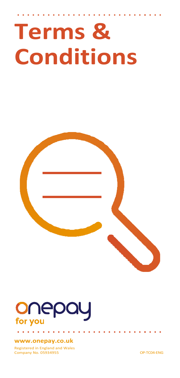# **Terms & Conditions**

# onepay for you

#### **[www.onepay.co.uk](http://www.onepay.co.uk/)**

Registered in England and Wales Company No. 05934955 OP-TC04-ENG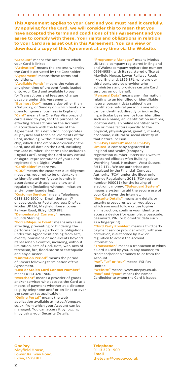**This Agreement applies to your Card and you must read it carefully. By applying for the Card, we will consider this to mean that you have accepted the terms and conditions of this Agreement and you agree to comply with these. Your rights and obligations in relation to your Card are as set out in this Agreement. You can view or download a copy of this Agreement at any time via the Website.**

**"Account"** means the account to which your Card is linked.

**"Activation"** means the process whereby the Card is activated by the Cardholder. **ement"** means these terms and conditions.

**"Available Funds"** means the value at any given time of unspent funds loaded onto your Card and available to pay for Transactions and fees and charges payable under this Agreement.

**usiness Day"** means a day other than a Saturday, or Sunday on which banks are open for general business in England. ard" means the One Pay Visa prepaid card issued to you, for the purpose of effecting Transactions on the Account in accordance with the terms of the Agreement. This definition incorporates all physical and technical elements of the Card, including, without limitation, the chip, whichisthe embedded circuit on the Card, and all data on the Card, including the Card number. The terms also includes a 'Digital Card', being the Card or any virtual or digital representations of your Card registered in a Digital Wallet. **"Cardholder"** means you.

**"CDD"** means the customer due diligence measures required to be undertaken to identify and verify your identity in accordance with applicable law and regulation (including without limitation anti-money laundering).

**ner Services"** means Telephone: 0113 320 1900, or Email: theteam@ onepay.co.uk, or Postal address: OnePay, Modus UK Ltd, Mayfield House, Lower Railway Road, Ilkley. LS29 8FL.<br>"Denominated Currency" means

**inated Currency** Pounds Sterling.

**"Force Majeure Event"** means any cause affecting, preventing or hindering the performance by a party of its obligations under this Agreement arising from acts, events, omissions or non-events beyond itsreasonable control, including, without limitation, acts of God, riots, war, acts of terrorism, fire, flood, storm or earthquake and any disaster.

**"Limitation Period"** means the period of 6 years following termination of this Agreement.

#### **Lost or Stolen Card Contact Number** means 0113 320 1900.

**"Merchant"** means a provider of goods and/or services who accepts the Card as a means of payment whether at a distance (e.g. by telephone and/ or on-line) or over the counter (as applicable).

**line Portal"** means the web application available at https://onepay. co.uk, from which your Account can be managed. You can access it by logging in by using your Security Details.

**"Programme Manager"** means Modus UK Ltd, a company registered in England andWales(company registration number 05934955), with its registered office at Mayfield House, Lower Railway Road, Ilkley, England, LS29 8FL, who are our third party service provider who administers and provides certain Card services on our behalf.

sonal Data" means any information relating to an identified or identifiable natural person ('data subject'); an identifiable natural person is one who can be identified, directly or indirectly, in particular by reference to an identifier such as a name, an identification number, location data, an online identifier or to one or more factors specific to the physical, physiological, genetic, mental, economic, cultural or social identity of that natural person.

#### **"PSI-Pay Limited" means PSI-Pay**

**Limited** a company registered in England and Wales (company registration number 05899168), with its registered office at Afon Building, Worthing Road, Horsham, West Sussex, RH12 1TL . We are authorised and regulated by the Financial Conduct Authority (FCA) under the Electronic Money Regulations 2011 (FCA register number 900011) for the issuing of electronic money. **"Safeguard System"**  means a system to aid the secure use of your Card over the internet.

**"Security Details"** means any details or security procedures we tell you about which you must follow or use to give an instruction, confirm your identity or access a device (for example, a passcode, password, PIN, or biometric data such as a fingerprint).

**"Third Party Provider"** means a third party payment service provider which, with your permission, is authorised by law or regulation to access the Account information.

**action"** means a transaction in which a Card is used by you, in any manner, to credit and/or debit money to or from the Account.

**or "our"** means PSI-Pay Limited.

**"Website"** means[: www.onepay.co.uk.](http://www.onepay.co.uk/) **"you" and "your"** means the named Cardholder to whom the Card is issued.

**OnePay** Mayfield House, Lower Railway Road, Ilkley, LS29 8FL

. . . . .

**Telephone** 0113 320 1900 **Email** [theteam@onepay.co.uk](mailto:theteam@onepay.co.uk)

10,000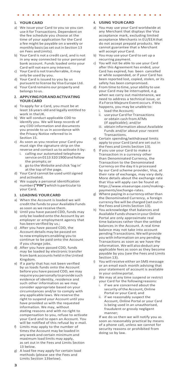## **1. YOUR CARD**

- We issue your Card to you so you can use it for Transactions. Dependent on the fee schedule you choose at the time of your application for the Card a fee might be payable on a weekly or monthly basis(asset outin Section 13 on Fees andLimits).
- b) Your Card is not a credit card, and is not in any way connected to your personal bank account. Funds loaded onto your Card will not earn any interest.
- c) Your Card is not transferrable, it may only be used by you.
- d) Your Card is issued to you by us pursuant to license by Visa Europe Ltd.
- e) Your Card remains our property and belongs to us.

#### **2. APPLYINGFORANDACTIVATING YOUR CARD**

- a) To apply for a Card, you must be at least 16 years old and legally entitled to work in the UK.
- b) We will conduct applicable CDD to identify you. We will keep records of any CDD information and documents you provide to us in accordance with the Privacy Notice referred to in Section 15.
- c) As soon as you receive your Card you must sign the signature strip on the reverse and contact us to activate it by:
	- i. calling our automated telephone service on 0113 320 1900 and follow the prompts;or
	- ii. go to the Website and click 'log in' at the top of the page.
- d) Your Card cannot be used untilsigned and activated.
- e) We supply a personal identification number**("PIN")**which isparticularto your Card.

#### **3. LOADING YOURCARD**

- a) When the Account is loaded we will credit the funds to your Available Funds assoon as we receive them.
- b) Until you have passed CDD, funds may only be loaded onto the Account by an employer or employment agency that has been verified by us.;
- c) After you have passed CDD, the Account details may be passed on to new employers enabling you to continue to be paid onto the Account if you change jobs.
- d) After you have passed CDD, funds may be loaded by electronic transfer from bank accounts held in the United Kingdom.
- e) If a party that has not been verified by us loads funds onto the Account before you have passed CDD, we may require you personally to provide such evidence of identity, residence and such other information as we may consider appropriate based on your circumstances and/or to comply with any applicable laws. We reserve the right to suspend your Account until you have provided us with the requested information. We may, without stating reasons and with no right to compensation to you, refuse to activate your Card and to open an Account. You will be notified of this refusal by e-mail.
- f) Limits may apply to the number of timesthe Account may be loaded in any week and certain minimum and maximum load limits may apply, as set out in the Fees and Limits Section 13 below.
- g) A load fee may apply for certain load methods (please see the Fees and Limits Section 13below).

## **4. USING YOURCARD**

- You may use your Card worldwide at any Merchant that displays the Visa acceptance mark, excluding limited acceptance Merchants in EU/EEAthat do not accept prepaid products. We cannot guarantee that a Merchant will accept your Card.
- b) You may use your Card to set up a recurring payment.
- c) You will not be able to use your Card after this Agreement has ended, your Card has expired, has been cancelled or while suspended, or if your Card has been reported lost, copied, stolen, or its safety has been compromised.
- d) From time to time, your ability to use your Card may be interrupted, e.g. when we carry out maintenance, we need to address a technical issue, or if a Force Majeure Event occurs. Ifthis happens, you may be unable to:<br>i load the Account:
	- i. load the Account;
	- ii. useyour Card for Transactions or obtain cash from ATMs (if applicable); and/or
	- iii. obtain information about Available Funds and/or about your recent Transactions.
- e) Certain spending/withdrawal limits apply to your Card (and are set out in the Fees and Limits Section 13).
- f) If you use your Card to make a Transaction in a currency other than Denominated Currency, the Transaction to the Denominated Currency on the day it is processed by our Card scheme provider, Visa, at their rate of exchange, may vary daily. More details about the exchange rate that Visa will apply can be found at: https:[//www.visaeurope.com/making](http://www.visaeurope.com/making-)payments/exchange-rates.
- g) Where paying in a currency other than the Denominated Currency, a foreign currency fee will be charged (set outin the Fees and Limits Section 13).
- h) You acknowledge that balances and Available Funds shown in your Online Portal are only approximate real time balances rather than the settled balances in the Account. A real time balance may not take into account pending Transactions.Wewillprovide you with information on any pending Transactions as soon as we have the information. We will also deduct any applicable fees as soon as they become payable by you (see the Fees and Limits Section 13).
- i) You willreceive either an SMS message or an email each month advising that your statement of account is available in your onlineportal.
- j) We may at any time suspend or restrict your Card for the following reasons:
	- i. if we are concerned about the security of the Account, Online Portal or your Card; and
	- ii. if we reasonably suspect the Account, Online Portal or your Card is being used in an unauthorised, fraudulent or grossly negligent manner;

If we do so then we will notify you as soon as reasonably practical by means of a phone call, unless we cannot for security reasons or prohibited from doing so by law.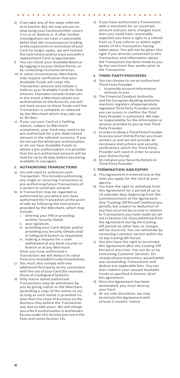- k) If we take any of the steps referred to in Section 4(j), we may ask you to stop using your Card and either return it to us or destroy it. If after further investigations we have a reasonable belief that the circumstances leading to the suspension or restriction of your Card no longer apply, we will remove therestrictions and/orissue youwith a replacement Card as appropriate.
- l) You can check your Available Balance by logging in to your Online Portal, or by contacting Customer Services.
- m) In some circumstances Merchants may require verification that your Available Funds will cover the Transaction amount and initiate a hold on your Available Funds for that amount. Examples include rental cars. In the event a Merchant places preauthorisation onthe Account, you will not have access to these funds until the Transaction is complete or released by the Merchant which may take up to 30 days.
- n) If you use your Card at a fuelling station, subject to Merchant acceptance, your Card may need to be pre-authorised for a pre-determined amount in the relevant currency. If you do not use the whole pre-authorisation or do not have Available Funds to obtain a pre-authorisation, it is possible that the pre-authorised amount will be held for up to 30 days before becoming available to youagain.

#### **5. AUTHORISING TRANSACTIONS**

- a) You will need to authorise each Transaction. Thisincludes authorising any single or recurring Transaction or pre-authorising future Transactions of a certain or uncertain amount.
- b) A Transaction may be regarded as authorised by you where you have authorised the Transaction at the point of sale by following the instructions provided by the Merchant, which may include:<br>i ente
	- entering your PIN or providing another Security Detail;
	- ii. yoursignature;
	- iii. providing your Card details and/or providing you Security Details and/ or Safeguard System as requested;
	- iv. making a request for a cash withdrawal at any bank counter or branch or at any Merchant. Once you have authorised a

Transaction we will deduct its value from your Available Funds immediately.

- c) You must also comply with any additional third party terms connected with the use of your Card (for example, those of a Safeguard System).
- d) Only future dated authorised Transactions may be withdrawn by you by giving notice to the Merchant (providing a copy of the notice to us) as long as such notice is provided no later than the close of business on the Business Day before the Transaction was due to take place. We will charge you a fee if authorisation is withdrawn by you under this Section (set out in the Fees and Limits Section 13).

e) If you have authorised a Transaction with a merchant for an uncertain amount and you were charged more than you could have reasonably expected you have a right to a refund from us if you inform us within eight weeks of this Transaction having taken place. You will not be given this right if you directly consented to this Transaction and information about the Transaction has been made to you by the merchant four weeks prior to the Transaction.

#### **6. THIRD PARTYPROVIDERS**

 $\sim$  $\sim$ 

**All Angel** 

- a) You can choose to use an authorised Third Party Provider
	- i. toprovide accountinformation services to you.
- b) The Financial Conduct Authority and the European Banking Authority maintain registers ofappropriately regulated Third Party Providers which you can access to confirm the Third Party Provider is authorised. We take no responsibility for the information or services provided to you by that Third Party Provider.
- c) In orderto allow a Third Party Provider to access your Online Portal, you must contact us and we will provide all necessary instructions and security verifications which the Third Party Provider will need in order to access your Online Portal.
- d) Do not give your Security Detailsto Third Party Provider.

#### **7. TERMINATION ANDEXPIRY**

- a) This Agreement is entered into at the time you apply for the Card at your agency.
- b) You have the right to withdraw from this Agreement for a period of up to 14 calendar days beginning from the commencement of the Agreement (the "Cooling-OffPeriod")without any penalty but subject to deduction of any feesincurred by us only inrelation to Transactions you have made (asset out in Section 13). If you withdraw from the Agreement during the Cooling-Off period no other fees or charges will be incurred. You can withdraw by contacting Customer Service within the 14 day Cooling Off Period.
- c) You also have the right to terminate this Agreement after the Cooling-Off Period at any time. You can do so by contacting Customer Services. On receipt of your instruction, we will debit any outstanding Transactions and deduct any applicable fees. You can then redeem your unused Available Funds asspecified in Section 10 of this agreement.
- d) Once the Agreement has been terminated, you must destroy your Card.
- e) At our sole discretion, we may terminate this Agreement with at least 2 months' notice.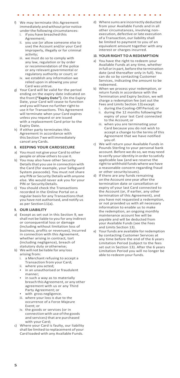- We may terminate this Agreement immediately andwithout prior notice
	- under the following circumstances:<br>i if you have breached this if you have breached this Agreement;
	- ii. you use (or allow someone else to use) the Account and/or your Card improperly, illegally or for criminal activity;
	- iii. we must do so to comply with any law, regulation or by order or recommendation of the police or any relevant governmental or regulatory authority or court; or
	- iv. we establish any information we relied upon in allowing you your Card was untrue.
- g) Your Card will be valid for the period ending on the expiry date indicated on the front **("Expiry Date")**. On the Expiry Date, your Card will cease to function and you will have no further right to use it for Transactions. This Agreement will terminate when your Card expires unless you request or are issued with a replacement Card prior to the Expiry Date.
- h) If either party terminates this Agreement in accordance with this Section 7we will immediately cancel any Cards.

#### **8. KEEPING YOUR CARDSECURE**

- a) Youmust not give your Card to other people or allow others to use it.
- b) You may also have other Security Details that you use in connection with the Card (for example, your Safeguard System passcode). You must not share any PIN or Security Details with anyone else. We would never ask you for your PIN or SecurityDetails.
- c) You should check the Transactions recorded in the Online Portal on a regular basisfor any Transactionsthat you have not authorised, and notify us as per Section11(a).

#### **9. OUR LIABILITY**

- a) Except as set out in this Section 9, we shall not be liable to you for any indirect or consequential loss or damage (including without limitation loss of business, profits or revenues), incurred in connection with this Agreement, whether arising in contract, tort (including negligence), breach of statutory duty orotherwise;
- b) We will not be liable for any loss
	- arising from:<br>i. a Mercha a Merchant refusing to accept a Transaction from your Card;
	- ii. where you acted;
	- in an unauthorised or fraudulent manner;
	- in such a way as to materially breach this Agreement, or any other agreement with us or any Third Party Agreement; or
	- with gross negligence.
	- iii. where your loss is due to the occurrence of a Force Majeure Event; or
	- iv. the goods or services (or in connection with use of the goods and services) that are purchased with your Card;
- c) Where your Card is faulty, our liability shall be limited to replacement of your Card loaded with any Available Funds.

d) Where sums are incorrectly deducted from your Available Funds and in all other circumstances, involving nonexecution, defective or late execution of a Transaction, our liability shall be limited to payment to you of an equivalent amount together with any interest or charges incurred.

#### **10. YOUR RIGHT TOA REDEMPTION**

- a) You have the right to redeem your Available Funds at any time, whether infull orin part, before the termination date (and thereafter only in full). You can do so by contacting Customer Services, indicating the amount to be redeemed.
- b) When we process your redemption, or return funds in accordance with the Termination and Expiry Section, we will charge a redemption fee (set out the Fees and Limits Section 13) except:<br>i. during the Cooling-Off Period:
	- during the Cooling-Off Period; or ii. during the 12 months following the expiry of your last Card connected to the Account; or
	- iii. when you are terminating your Card because you do not wish to accept a change to the terms of this Agreement that we have notified you of.
- c) We will return your Available Funds in Pounds Sterling to your personal bank account. Before we do so, we may need to verify youridentity in order to satisfy applicable law (and we reserve the right to withhold funds where we have a reasonable concern regarding fraud or other securityissues).
- d) If there are any funds remaining on the Account one year after the termination date or cancellation or expiry of your last Card connected to the Account (or, if earlier, any other termination of this Agreement), and you have not requested a redemption, or not provided us with all necessary information to enable us to make the redemption, an ongoing monthly maintenance account fee will be payable and will be deducted from your Available Funds (see the Fees and Limits Section 13).
- e) Yourfunds are available forredemption by contacting Customer Services at any time before the end of the 6 years Limitation Period (subject to the fees set out in Section 13). After the 6 years Limitation Period you will no longer be able to redeem your funds.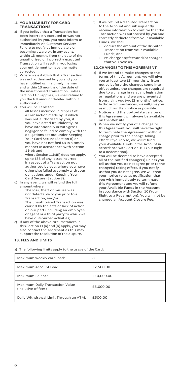#### **11. YOURLIABILITY FORCARD TRANSACTIONS**

a) If you believe that a Transaction has been incorrectly executed or was not authorised by you, you must inform us immediately via Customer Services. Failure to notify us immediately on becoming aware or, in any event, within 13 months from the date of the unauthorised or incorrectly executed Transaction will result in you losing your entitlement to have the matter corrected.

**Service** State

- b) Where we establish that a Transaction was not authorised by you and you have notified us in a timely manner and within 13 months of the date of the unauthorised Transaction, unless Section 11(c) applies, we shall refund to you the full amount debited without authorisation.
- c) You will be liablefor:<br>i all losses incurred
	- all losses incurred in respect of a Transaction made by us which was not authorised by you, if you have acted fraudulently, or have intentionally or with gross negligence failed to comply with the obligations set out under Keeping Your Card Secure (Section 8) or you have not notified us in a timely manner in accordance with Section  $11(h)$ ; and
	- where Section  $11(c)(i)$  does not apply, up to £35 of any lossesincurred in respect of a Transaction not authorised by you, where you have otherwise failed to comply withyour obligations under Keeping Your Card Secure (Section8).
- d) In any event, we will refund the full amount where;
	- i. The loss, theft or misuse was not detectable to you prior to a Transaction; and/or
	- ii. The unauthorised Transaction was caused by the acts or lack of action on our part (including an employee or agent or a third party to which we have outsourced activities).
- e) If any of the above circumstances in this Section 11 (a)and (b) apply, youmay also contact the Merchant as this may support the resolution of the dispute.

#### **13. FEES AND LIMITS**

a) The following limits apply to the usage of the Card:

f) If we refund a disputed Transaction to the Account and subsequently receive information to confirm that the Transaction was authorised by you and correctly deducted from your Available

 $\sim$ 

 $\sim$  $\sim$ 

**Service** 

 $\sim$ 

- Funds, we shall:<br>i deduct the a deduct the amount of the disputed Transaction from your Available Funds; and
- re-charge any fees and/or charges that you owe us.

#### **12.CHANGESTOTHISAGREEMENT**

- a) If we intend to make changes to the terms of this Agreement, we will give you at least two (2) months written notice before the changes come into effect unless the changes are required due to a change in relevant legislation or regulations and we are prevented from giving you two (2) months' notice. Inthose circumstances, wewill giveyou as much written notice as possible.
- b) Notices and the up-to-date version of this Agreement will always be available on the Website.
- c) When we notify you of a change to this Agreement, you will have the right to terminate the Agreement without charge prior to the change taking effect. If you do so, we will refund your Available Funds in the Account in accordance with Section 10 (Your Right to a Redemption).
- d) You will be deemed to have accepted all of the notified change(s) unless you tell us that you do not agree prior to the change(s) taking effect. If you notify us that you do not agree, we will treat your notice to us as notification that you wish immediately to terminate this Agreement and we will refund your Available Funds in the Account in accordance with Section 10 (Your Right to a Redemption). You will not be charged an Account Closure Fee.

| Maximum weekly card loads                              | 8          |
|--------------------------------------------------------|------------|
| Maximum Account Load                                   | £2,500.00  |
| Maximum Balance                                        | £10,000.00 |
| Maximum Daily Transaction Value<br>(Inclusive of fees) | £5,000.00  |
| Daily Withdrawal Limit Through an ATM.                 | £500.00    |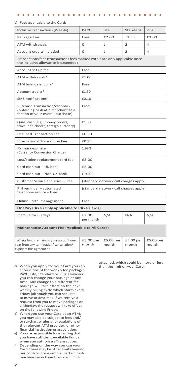#### b) Fees applicable to the Card:

**Contract Contract Contract Contract** 

 $\mathbf{r}$ ÷  $\mathbf{r}$  $\mathbf{r}$ 

| Inclusive Transactions (Weekly)                                                                                     | PAYG                                  | Lite               | Standard           | Plus               |  |  |
|---------------------------------------------------------------------------------------------------------------------|---------------------------------------|--------------------|--------------------|--------------------|--|--|
| Package Fee                                                                                                         | Free                                  | £2.00              | £2.50              | £3.00              |  |  |
| <b>ATM</b> withdrawals                                                                                              | $\Omega$                              | $\mathbf{1}$       | $\mathfrak{p}$     | 4                  |  |  |
| Account credits included                                                                                            | $\Omega$                              | 1                  | $\mathcal{P}$      | $\Delta$           |  |  |
| Transactions fees (transactions fees marked with * are only applicable once<br>the inclusive allowance is exceeded) |                                       |                    |                    |                    |  |  |
| Account set up fee                                                                                                  | Free                                  |                    |                    |                    |  |  |
| ATM withdrawals*                                                                                                    | £1.00                                 |                    |                    |                    |  |  |
| ATM balance enquiry*                                                                                                | Free                                  |                    |                    |                    |  |  |
| Account credits*                                                                                                    | £1.50                                 |                    |                    |                    |  |  |
| SMS notifications*                                                                                                  | £0.10                                 |                    |                    |                    |  |  |
| Purchase Transaction/cashback<br>(obtaining cash at a merchant as a<br>faction of your overall purchase)            | Free                                  |                    |                    |                    |  |  |
| Quasi cash (e.g., money orders,<br>traveller's checks, foreign currency)                                            | £1.50                                 |                    |                    |                    |  |  |
| <b>Declined Transaction Fee</b>                                                                                     | £0.50                                 |                    |                    |                    |  |  |
| <b>International Transaction Fee</b>                                                                                | £0.75                                 |                    |                    |                    |  |  |
| FX mark-up rate<br>(Currency Conversion Charge)                                                                     | 1.99%                                 |                    |                    |                    |  |  |
| Lost/stolen replacement card fee                                                                                    | £3.00                                 |                    |                    |                    |  |  |
| Card cash out - UK bank                                                                                             | £5.00                                 |                    |                    |                    |  |  |
| Card cash out - Non-UK bank                                                                                         | £10.00                                |                    |                    |                    |  |  |
| Customer Service enquiries - Free                                                                                   | (standard network call charges apply) |                    |                    |                    |  |  |
| PIN reminder - automated<br>telephone service - Free                                                                | (standard network call charges apply) |                    |                    |                    |  |  |
| Online Portal management                                                                                            | Free                                  |                    |                    |                    |  |  |
| <b>OnePay PAYG (Only applicable to PAYG Cards)</b>                                                                  |                                       |                    |                    |                    |  |  |
| Inactive for 60 days                                                                                                | £2.00<br>per month                    | N/A                | N/A                | N/A                |  |  |
| <b>Maintenance Account Fee (Applicable to All Cards)</b>                                                            |                                       |                    |                    |                    |  |  |
| Where funds remain on your account one<br>year from any termination/ cancellation/<br>expiry of this agreement      | £5.00 per<br>month                    | £5.00 per<br>month | £5.00 per<br>month | £5.00 per<br>month |  |  |

- c) When you apply for your Card you can choose one of the weekly fee packages PAYG, Lite, Standard or Plus. However, you can change your package at any time. Any change to a different fee package will take effect on the next weekly billing cycle which starts every Friday (although you can request to move at anytime). If we receive a request from you to move packages on a Monday, the request will take effect on the following Friday.
- d) When you use your Card at an ATM, you may also be subject to fees and/ or surcharge rules and regulations of the relevant ATM provider, or other financial institution or association.
- e) Youare responsible for ensuring that you have sufficient Available Funds when you authorise a Transaction.
- f) Depending on the way you use your Card, there may be other limits beyond our control. For example, certain cash machines may have their own limits

attached, which could be more or less than the limit on your Card.

 $\mathcal{A}$  , and  $\mathcal{A}$  , and  $\mathcal{A}$  , and  $\mathcal{A}$  , and  $\mathcal{A}$  , and  $\mathcal{A}$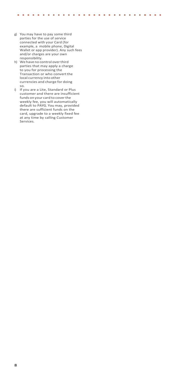g) You may have to pay some third parties for the use of service connected with your Card (for example, a mobile phone, Digital Wallet or app provider). Any such fees and/or charges are your own responsibility.

. . . . . . . . . . .

 $\mathbf{r}$ ٠.  $\alpha$  , and  $\alpha$  , and  $\alpha$  , and  $\alpha$  , and  $\alpha$  , and  $\alpha$  , and  $\alpha$ 

- h) We have no control overthird parties that may apply a charge to you for processing the Transaction or who convert the local currency into other currencies and charge for doing so.
- i) If you are a Lite, Standard or Plus customer and there are insufficient funds on your card to coverthe weekly fee, you will automatically default to PAYG. You may, provided there are sufficient funds on the card, upgrade to a weekly fixed fee at any time by calling Customer Services.